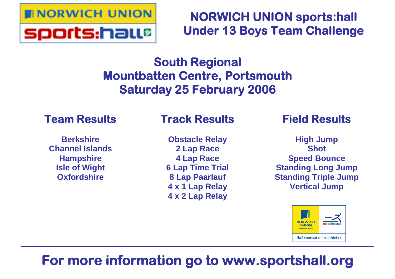

# **NORWICH UNION sports:hall Under 13 Boys Team Challenge**

# **South Regional Mountbatten Centre, Portsmouth Saturday 25 February 2006**

# **Team Results**

**Berkshire Channel Islands Hampshire Isle of Wight Oxfordshire**

# **Track Results**

**Obstacle Relay 2 Lap Race 4 Lap Race 6 Lap Time Trial 8 Lap Paarlauf 4 x 1 Lap Relay 4 x 2 Lap Relay**

# **Field Results**

**High Jump Shot Speed Bounce Standing Long Jump Standing Triple Jump Vertical Jump**



# **For more information go to www.sportshall.org**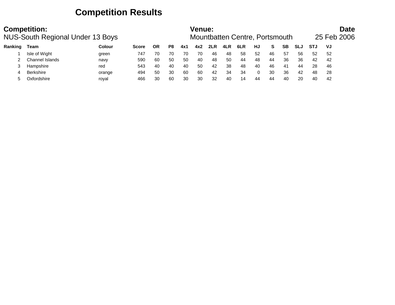## **Competition Results**

|         | <b>Competition:</b><br><b>NUS-South Regional Under 13 Boys</b> |               |              |           |    |     | Venue: |     |     | Mountbatten Centre, Portsmouth |    |    |    |            |            | 25 Feb 2006 | <b>Date</b> |
|---------|----------------------------------------------------------------|---------------|--------------|-----------|----|-----|--------|-----|-----|--------------------------------|----|----|----|------------|------------|-------------|-------------|
| Ranking | Team                                                           | <b>Colour</b> | <b>Score</b> | <b>OR</b> | P8 | 4x1 | 4x2    | 2LR | 4LR | 6LR                            | HJ | S. | SВ | <b>SLJ</b> | <b>STJ</b> | VJ          |             |
|         | Isle of Wight                                                  | green         | 747          | 70        | 70 | 70  | 70     | 46  | 48  | 58                             | 52 | 46 | 57 | 56         | 52         | 52          |             |
|         | Channel Islands                                                | navy          | 590          | 60        | 50 | 50  | 40     | 48  | 50  | 44                             | 48 | 44 | 36 | 36         | 42         | -42         |             |
|         | Hampshire                                                      | red           | 543          | 40        | 40 | 40  | 50     | 42  | 38  | 48                             | 40 | 46 | 41 | 44         | 28         | 46          |             |
|         | <b>Berkshire</b>                                               | orange        | 494          | 50        | 30 | 60  | 60     | 42  | 34  | -34                            | 0  | 30 | 36 | 42         | 48         | -28         |             |
|         | Oxfordshire                                                    | roval         | 466          | 30        | 60 | 30  | 30     | 32  | 40  | 14                             | 44 | 44 | 40 | 20         | 40         | 42          |             |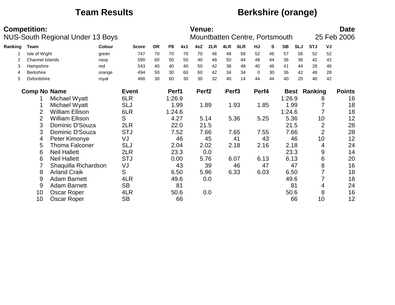# **Team Results Berkshire (orange)**

|         | <b>Competition:</b> |                                         |               |              |           |                |      | <b>Venue:</b>     |      |                   |                                |          |    |           |             |            |                | <b>Date</b>   |
|---------|---------------------|-----------------------------------------|---------------|--------------|-----------|----------------|------|-------------------|------|-------------------|--------------------------------|----------|----|-----------|-------------|------------|----------------|---------------|
|         |                     | <b>NUS-South Regional Under 13 Boys</b> |               |              |           |                |      |                   |      |                   | Mountbatten Centre, Portsmouth |          |    |           |             |            |                | 25 Feb 2006   |
| Ranking | <b>Team</b>         |                                         | <b>Colour</b> | <b>Score</b> | <b>OR</b> | P <sub>8</sub> | 4x1  | 4x2               | 2LR  | 4LR               | 6LR                            | HJ       | S  | <b>SB</b> | <b>SLJ</b>  | <b>STJ</b> | VJ             |               |
|         | Isle of Wight       |                                         | green         | 747          | 70        | 70             | 70   | 70                | 46   | 48                | 58                             | 52       | 46 | 57        | 56          | 52         | 52             |               |
|         | Channel Islands     |                                         | navy          | 590          | 60        | 50             | 50   | 40                | 48   | 50                | 44                             | 48       | 44 | 36        | 36          | 42         | 42             |               |
| 3       | Hampshire           |                                         | red           | 543          | 40        | 40             | 40   | 50                | 42   | 38                | 48                             | 40       | 46 | 41        | 44          | 28         | 46             |               |
| 4       | <b>Berkshire</b>    |                                         | orange        | 494          | 50        | 30             | 60   | 60                | 42   | 34                | 34                             | $\Omega$ | 30 | 36        | 42          | 48         | 28             |               |
| 5       | Oxfordshire         |                                         | royal         | 466          | 30        | 60             | 30   | 30                | 32   | 40                | 14                             | 44       | 44 | 40        | 20          | 40         | 42             |               |
|         | <b>Comp No Name</b> |                                         |               | <b>Event</b> |           | Perf1          |      | Perf <sub>2</sub> |      | Perf <sub>3</sub> |                                | Perf4    |    |           | <b>Best</b> | Ranking    |                | <b>Points</b> |
|         |                     | Michael Wyatt                           |               | 6LR          |           | 1:26.9         |      |                   |      |                   |                                |          |    | 1:26.9    |             |            | 8              | 16            |
|         |                     | Michael Wyatt                           |               | <b>SLJ</b>   |           |                | 1.99 |                   | 1.89 |                   | 1.93                           | 1.85     |    |           | 1.99        |            |                | 18            |
|         | 2                   | <b>William Ellison</b>                  |               | 6LR          |           | 1:24.6         |      |                   |      |                   |                                |          |    | 1:24.6    |             |            |                | 18            |
|         | $\overline{2}$      | <b>William Ellison</b>                  |               | S            |           | 4.27           |      |                   | 5.14 |                   | 5.36                           | 5.25     |    | 5.36      |             | 10         |                | 12            |
|         | 3                   | Dominic D'Souza                         |               | 2LR          |           |                | 22.0 |                   | 21.5 |                   |                                |          |    | 21.5      |             |            | $\overline{2}$ | 28            |
|         | 3                   | Dominic D'Souza                         |               | <b>STJ</b>   |           |                | 7.52 |                   | 7.66 |                   | 7.65                           | 7.55     |    | 7.66      |             |            | $\overline{2}$ | 28            |
|         | 4                   | Peter Kimonye                           |               | VJ           |           |                | 46   |                   | 45   |                   | 41                             |          | 43 |           | 46          | 10         |                | 12            |
|         | 5                   | <b>Thoma Falconer</b>                   |               | <b>SLJ</b>   |           | 2.04           |      |                   | 2.02 |                   | 2.18                           | 2.16     |    | 2.18      |             |            | 4              | 24            |
|         | 6                   | <b>Neil Hallett</b>                     |               | 2LR          |           | 23.3           |      |                   | 0.0  |                   |                                |          |    | 23.3      |             |            | 9              | 14            |
|         | 6                   | <b>Neil Hallett</b>                     |               | <b>STJ</b>   |           | 0.00           |      |                   | 5.76 |                   | 6.07                           | 6.13     |    | 6.13      |             |            | 6              | 20            |
|         |                     | Shaquilla Richardson                    |               | VJ           |           |                | 43   |                   | 39   |                   | 46                             |          | 47 |           | 47          |            | 8              | 16            |
|         | 8                   | <b>Arland Craik</b>                     |               | S            |           | 6.50           |      |                   | 5.96 |                   | 6.33                           | 6.03     |    | 6.50      |             |            |                | 18            |
|         | 9                   | <b>Adam Barnett</b>                     |               | 4LR          |           | 49.6           |      |                   | 0.0  |                   |                                |          |    | 49.6      |             |            |                | 18            |
|         | 9                   | <b>Adam Barnett</b>                     |               | <b>SB</b>    |           |                | 81   |                   |      |                   |                                |          |    |           | 81          |            | 4              | 24            |
|         | 10                  | Oscar Roper                             |               | 4LR          |           |                | 50.6 |                   | 0.0  |                   |                                |          |    | 50.6      |             |            | 8              | 16            |
|         | 10                  | <b>Oscar Roper</b>                      |               | <b>SB</b>    |           |                | 66   |                   |      |                   |                                |          |    |           | 66          | 10         |                | 12            |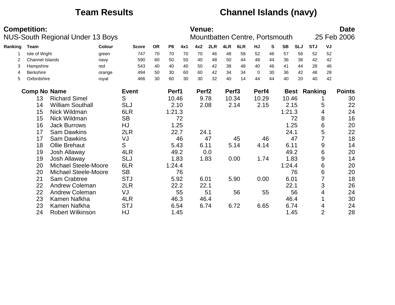## **Team Results Channel Islands (navy)**

|         | <b>Competition:</b>    | <b>NUS-South Regional Under 13 Boys</b> |               |              |           |                |      | <b>Venue:</b>     |      |                   | Mountbatten Centre, Portsmouth |          |    |           |             |            |                | <b>Date</b><br>25 Feb 2006 |
|---------|------------------------|-----------------------------------------|---------------|--------------|-----------|----------------|------|-------------------|------|-------------------|--------------------------------|----------|----|-----------|-------------|------------|----------------|----------------------------|
| Ranking | Team                   |                                         | <b>Colour</b> | <b>Score</b> | <b>OR</b> | P <sub>8</sub> | 4x1  | 4x2               | 2LR  | 4LR               | 6LR                            | HJ       | S  | <b>SB</b> | <b>SLJ</b>  | <b>STJ</b> | VJ             |                            |
|         | Isle of Wight          |                                         | green         | 747          | 70        | 70             | 70   | 70                | 46   | 48                | 58                             | 52       | 46 | 57        | 56          | 52         | 52             |                            |
| 2       | <b>Channel Islands</b> |                                         | navy          | 590          | 60        | 50             | 50   | 40                | 48   | 50                | 44                             | 48       | 44 | 36        | 36          | 42         | 42             |                            |
| 3       | Hampshire              |                                         | red           | 543          | 40        | 40             | 40   | 50                | 42   | 38                | 48                             | 40       | 46 | 41        | 44          | 28         | 46             |                            |
| 4       | <b>Berkshire</b>       |                                         | orange        | 494          | 50        | 30             | 60   | 60                | 42   | 34                | 34                             | $\Omega$ | 30 | 36        | 42          | 48         | 28             |                            |
| 5       | Oxfordshire            |                                         | royal         | 466          | 30        | 60             | 30   | 30                | 32   | 40                | 14                             | 44       | 44 | 40        | 20          | 40         | 42             |                            |
|         | <b>Comp No Name</b>    |                                         |               | <b>Event</b> |           | Perf1          |      | Perf <sub>2</sub> |      | Perf <sub>3</sub> |                                | Perf4    |    |           | <b>Best</b> | Ranking    |                | <b>Points</b>              |
|         | 13                     | <b>Richard Simel</b>                    |               | S            |           | 10.46          |      |                   | 9.78 | 10.34             |                                | 10.29    |    | 10.46     |             |            |                | 30                         |
|         | 14                     | <b>William Southall</b>                 |               | <b>SLJ</b>   |           |                | 2.10 |                   | 2.08 |                   | 2.14                           | 2.15     |    |           | 2.15        |            | 5              | 22                         |
|         | 15                     | Nick Wildman                            |               | 6LR          |           | 1:21.3         |      |                   |      |                   |                                |          |    | 1:21.3    |             |            | 4              | 24                         |
|         | 15                     | Nick Wildman                            |               | <b>SB</b>    |           |                | 72   |                   |      |                   |                                |          |    |           | 72          |            | 8              | 16                         |
|         | 16                     | <b>Jack Burrows</b>                     |               | HJ           |           |                | 1.25 |                   |      |                   |                                |          |    |           | 1.25        |            | 6              | 20                         |
|         | 17                     | <b>Sam Dawkins</b>                      |               | 2LR          |           | 22.7           |      | 24.1              |      |                   |                                |          |    | 24.1      |             |            | 5              | 22                         |
|         | 17                     | <b>Sam Dawkins</b>                      |               | VJ           |           |                | 46   |                   | 47   |                   | 45                             |          | 46 |           | 47          |            | 7              | 18                         |
|         | 18                     | <b>Ollie Brehaut</b>                    |               | S            |           | 5.43           |      | 6.11              |      |                   | 5.14                           | 4.14     |    | 6.11      |             |            | 9              | 14                         |
|         | 19                     | Josh Allaway                            |               | 4LR          |           | 49.2           |      |                   | 0.0  |                   |                                |          |    |           | 49.2        |            | 6              | 20                         |
|         | 19                     | Josh Allaway                            |               | <b>SLJ</b>   |           |                | 1.83 |                   | 1.83 |                   | 0.00                           | 1.74     |    |           | 1.83        |            | 9              | 14                         |
|         | 20                     | <b>Michael Steele-Moore</b>             |               | 6LR          |           | 1:24.4         |      |                   |      |                   |                                |          |    | 1:24.4    |             |            | 6              | 20                         |
|         | 20                     | <b>Michael Steele-Moore</b>             |               | <b>SB</b>    |           |                | 76   |                   |      |                   |                                |          |    |           | 76          |            | 6              | 20                         |
|         | 21                     | Sam Crabtree                            |               | <b>STJ</b>   |           | 5.92           |      | 6.01              |      |                   | 5.90                           | 0.00     |    | 6.01      |             |            | $\overline{7}$ | 18                         |
|         | 22                     | <b>Andrew Coleman</b>                   |               | 2LR          |           |                | 22.2 | 22.1              |      |                   |                                |          |    | 22.1      |             |            | 3              | 26                         |
|         | 22                     | <b>Andrew Coleman</b>                   |               | VJ           |           |                | 55   |                   | 51   |                   | 56                             |          | 55 |           | 56          |            | 4              | 24                         |
|         | 23                     | Kamen Nafkha                            |               | 4LR          |           | 46.3           |      |                   | 46.4 |                   |                                |          |    | 46.4      |             |            |                | 30                         |
|         | 23                     | Kamen Nafkha                            |               | <b>STJ</b>   |           | 6.54           |      |                   | 6.74 |                   | 6.72                           | 6.65     |    |           | 6.74        |            | 4              | 24                         |
|         | 24                     | <b>Robert Wilkinson</b>                 |               | HJ           |           |                | 1.45 |                   |      |                   |                                |          |    |           | 1.45        |            | $\overline{2}$ | 28                         |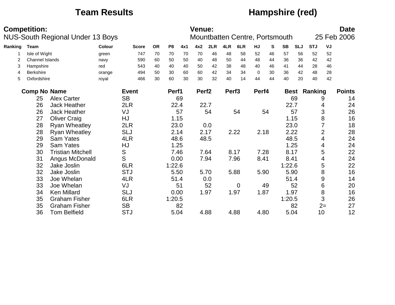# **Team Results Hampshire (red)**

|         | <b>Competition:</b>    | NUS-South Regional Under 13 Boys |        |              |           |                |      | <b>Venue:</b>     |      |                   | Mountbatten Centre, Portsmouth |             |    |           |            |                     |                | <b>Date</b><br>25 Feb 2006 |
|---------|------------------------|----------------------------------|--------|--------------|-----------|----------------|------|-------------------|------|-------------------|--------------------------------|-------------|----|-----------|------------|---------------------|----------------|----------------------------|
| Ranking | <b>Team</b>            |                                  | Colour | <b>Score</b> | <b>OR</b> | P <sub>8</sub> | 4x1  | 4x2               | 2LR  | 4LR               | 6LR                            | <b>HJ</b>   | S  | <b>SB</b> | <b>SLJ</b> | <b>STJ</b>          | VJ             |                            |
|         | Isle of Wight          |                                  | green  | 747          | 70        | 70             | 70   | 70                | 46   | 48                | 58                             | 52          | 46 | 57        | 56         | 52                  | 52             |                            |
| 2       | <b>Channel Islands</b> |                                  | navy   | 590          | 60        | 50             | 50   | 40                | 48   | 50                | 44                             | 48          | 44 | 36        | 36         | 42                  | 42             |                            |
| 3       | Hampshire              |                                  | red    | 543          | 40        | 40             | 40   | 50                | 42   | 38                | 48                             | 40          | 46 | 41        | 44         | 28                  | 46             |                            |
| 4       | <b>Berkshire</b>       |                                  | orange | 494          | 50        | 30             | 60   | 60                | 42   | 34                | 34                             | $\mathbf 0$ | 30 | 36        | 42         | 48                  | 28             |                            |
| 5       | Oxfordshire            |                                  | royal  | 466          | 30        | 60             | 30   | 30                | 32   | 40                | 14                             | 44          | 44 | 40        | 20         | 40                  | 42             |                            |
|         | <b>Comp No Name</b>    |                                  |        | <b>Event</b> |           | Perf1          |      | Perf <sub>2</sub> |      | Perf <sub>3</sub> |                                | Perf4       |    |           |            | <b>Best Ranking</b> |                | <b>Points</b>              |
|         | 25                     | <b>Alex Carter</b>               |        | <b>SB</b>    |           |                | 69   |                   |      |                   |                                |             |    |           | 69         |                     | 9              | 14                         |
|         | 26                     | <b>Jack Heather</b>              |        | 2LR          |           | 22.4           |      |                   | 22.7 |                   |                                |             |    | 22.7      |            |                     | 4              | 24                         |
|         | 26                     | <b>Jack Heather</b>              |        | VJ           |           |                | 57   |                   | 54   |                   | 54                             |             | 54 |           | 57         |                     | 3              | 26                         |
|         | 27                     | <b>Oliver Craig</b>              |        | HJ           |           |                | 1.15 |                   |      |                   |                                |             |    |           | 1.15       |                     | 8              | 16                         |
|         | 28                     | <b>Ryan Wheatley</b>             |        | 2LR          |           |                | 23.0 |                   | 0.0  |                   |                                |             |    |           | 23.0       |                     |                | 18                         |
|         | 28                     | <b>Ryan Wheatley</b>             |        | <b>SLJ</b>   |           | 2.14           |      |                   | 2.17 |                   | 2.22                           | 2.18        |    | 2.22      |            |                     | $\overline{2}$ | 28                         |
|         | 29                     | <b>Sam Yates</b>                 |        | 4LR          |           | 48.6           |      |                   | 48.5 |                   |                                |             |    | 48.5      |            |                     | 4              | 24                         |
|         | 29                     | <b>Sam Yates</b>                 |        | HJ           |           | 1.25           |      |                   |      |                   |                                |             |    |           | 1.25       |                     | 4              | 24                         |
|         | 30                     | <b>Tristian Mitchell</b>         |        | S            |           |                | 7.46 |                   | 7.64 |                   | 8.17                           | 7.28        |    | 8.17      |            |                     | 5              | 22                         |
|         | 31                     | Angus McDonald                   |        | S            |           | 0.00           |      |                   | 7.94 |                   | 7.96                           | 8.41        |    | 8.41      |            |                     | 4              | 24                         |
|         | 32                     | Jake Joslin                      |        | 6LR          |           | 1:22.6         |      |                   |      |                   |                                |             |    | 1:22.6    |            |                     | 5              | 22                         |
|         | 32                     | Jake Joslin                      |        | <b>STJ</b>   |           | 5.50           |      |                   | 5.70 |                   | 5.88                           | 5.90        |    |           | 5.90       |                     | 8              | 16                         |
|         | 33                     | Joe Whelan                       |        | 4LR          |           | 51.4           |      |                   | 0.0  |                   |                                |             |    |           | 51.4       |                     | 9              | 14                         |
|         | 33                     | Joe Whelan                       |        | VJ           |           |                | 51   |                   | 52   |                   | 0                              |             | 49 |           | 52         |                     | 6              | 20                         |
|         | 34                     | <b>Ken Millard</b>               |        | <b>SLJ</b>   |           | 0.00           |      |                   | 1.97 |                   | 1.97                           | 1.87        |    | 1.97      |            |                     | 8              | 16                         |
|         | 35                     | <b>Graham Fisher</b>             |        | 6LR          |           | 1:20.5         |      |                   |      |                   |                                |             |    | 1:20.5    |            |                     | 3              | 26                         |
|         | 35                     | <b>Graham Fisher</b>             |        | <b>SB</b>    |           |                | 82   |                   |      |                   |                                |             |    |           | 82         |                     | $2=$           | 27                         |
|         | 36                     | <b>Tom Belfield</b>              |        | <b>STJ</b>   |           | 5.04           |      |                   | 4.88 |                   | 4.88                           | 4.80        |    | 5.04      |            | 10                  |                | 12                         |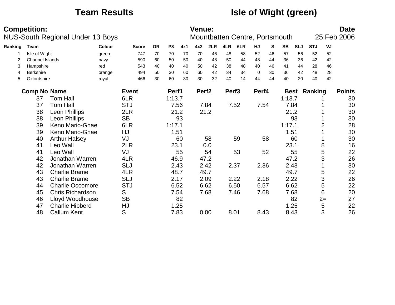# **Team Results Isle of Wight (green)**

|         | <b>Competition:</b>    | <b>NUS-South Regional Under 13 Boys</b> |        |              |           |                |      | <b>Venue:</b>     |      |                   | Mountbatten Centre, Portsmouth |             |    |           |            |                     |      | <b>Date</b><br>25 Feb 2006 |
|---------|------------------------|-----------------------------------------|--------|--------------|-----------|----------------|------|-------------------|------|-------------------|--------------------------------|-------------|----|-----------|------------|---------------------|------|----------------------------|
| Ranking | Team                   |                                         | Colour | <b>Score</b> | <b>OR</b> | P <sub>8</sub> | 4x1  | 4x2               | 2LR  | 4LR               | 6LR                            | HJ          | S  | <b>SB</b> | <b>SLJ</b> | <b>STJ</b>          | VJ   |                            |
|         | Isle of Wight          |                                         | green  | 747          | 70        | 70             | 70   | 70                | 46   | 48                | 58                             | 52          | 46 | 57        | 56         | 52                  | 52   |                            |
| 2       | <b>Channel Islands</b> |                                         | navy   | 590          | 60        | 50             | 50   | 40                | 48   | 50                | 44                             | 48          | 44 | 36        | 36         | 42                  | 42   |                            |
| 3       | Hampshire              |                                         | red    | 543          | 40        | 40             | 40   | 50                | 42   | 38                | 48                             | 40          | 46 | 41        | 44         | 28                  | 46   |                            |
| 4       | <b>Berkshire</b>       |                                         | orange | 494          | 50        | 30             | 60   | 60                | 42   | 34                | 34                             | $\mathbf 0$ | 30 | 36        | 42         | 48                  | 28   |                            |
| 5       | Oxfordshire            |                                         | royal  | 466          | 30        | 60             | 30   | 30                | 32   | 40                | 14                             | 44          | 44 | 40        | 20         | 40                  | 42   |                            |
|         | <b>Comp No Name</b>    |                                         |        | <b>Event</b> |           | Perf1          |      | Perf <sub>2</sub> |      | Perf <sub>3</sub> |                                | Perf4       |    |           |            | <b>Best Ranking</b> |      | <b>Points</b>              |
|         | 37                     | <b>Tom Hall</b>                         |        | 6LR          |           | 1:13.7         |      |                   |      |                   |                                |             |    | 1:13.7    |            |                     |      | 30                         |
|         | 37                     | <b>Tom Hall</b>                         |        | <b>STJ</b>   |           | 7.56           |      |                   | 7.84 |                   | 7.52                           | 7.54        |    |           | 7.84       |                     |      | 30                         |
|         | 38                     | <b>Leon Phillips</b>                    |        | 2LR          |           |                | 21.2 |                   | 21.2 |                   |                                |             |    |           | 21.2       |                     |      | 30                         |
|         | 38                     | <b>Leon Phillips</b>                    |        | <b>SB</b>    |           |                | 93   |                   |      |                   |                                |             |    |           | 93         |                     |      | 30                         |
|         | 39                     | Keno Mario-Ghae                         |        | 6LR          |           | 1:17.1         |      |                   |      |                   |                                |             |    | 1:17.1    |            |                     | 2    | 28                         |
|         | 39                     | Keno Mario-Ghae                         |        | HJ           |           | 1.51           |      |                   |      |                   |                                |             |    | 1.51      |            |                     |      | 30                         |
|         | 40                     | <b>Arthur Halsey</b>                    |        | VJ           |           |                | 60   |                   | 58   |                   | 59                             |             | 58 |           | 60         |                     |      | 30                         |
|         | 41                     | Leo Wall                                |        | 2LR          |           | 23.1           |      |                   | 0.0  |                   |                                |             |    | 23.1      |            |                     | 8    | 16                         |
|         | 41                     | Leo Wall                                |        | VJ           |           |                | 55   |                   | 54   |                   | 53                             |             | 52 |           | 55         |                     | 5    | 22                         |
|         | 42                     | Jonathan Warren                         |        | 4LR          |           | 46.9           |      |                   | 47.2 |                   |                                |             |    |           | 47.2       |                     | 3    | 26                         |
|         | 42                     | Jonathan Warren                         |        | <b>SLJ</b>   |           | 2.43           |      |                   | 2.42 |                   | 2.37                           | 2.36        |    |           | 2.43       |                     |      | 30                         |
|         | 43                     | <b>Charlie Brame</b>                    |        | 4LR          |           | 48.7           |      |                   | 49.7 |                   |                                |             |    | 49.7      |            |                     | 5    | 22                         |
|         | 43                     | <b>Charlie Brame</b>                    |        | <b>SLJ</b>   |           | 2.17           |      |                   | 2.09 |                   | 2.22                           | 2.18        |    |           | 2.22       |                     | 3    | 26                         |
|         | 44                     | <b>Charlie Occomore</b>                 |        | <b>STJ</b>   |           | 6.52           |      |                   | 6.62 |                   | 6.50                           | 6.57        |    |           | 6.62       |                     | 5    | 22                         |
|         | 45                     | <b>Chris Richardson</b>                 |        | S            |           |                | 7.54 |                   | 7.68 |                   | 7.46                           | 7.68        |    |           | 7.68       |                     | 6    | 20                         |
|         | 46                     | Lloyd Woodhouse                         |        | <b>SB</b>    |           |                | 82   |                   |      |                   |                                |             |    |           | 82         |                     | $2=$ | 27                         |
|         | 47                     | <b>Charlie Hibberd</b>                  |        | HJ           |           |                | 1.25 |                   |      |                   |                                |             |    |           | 1.25       |                     | 5    | 22                         |
|         | 48                     | <b>Callum Kent</b>                      |        | S            |           |                | 7.83 |                   | 0.00 |                   | 8.01                           | 8.43        |    | 8.43      |            |                     | 3    | 26                         |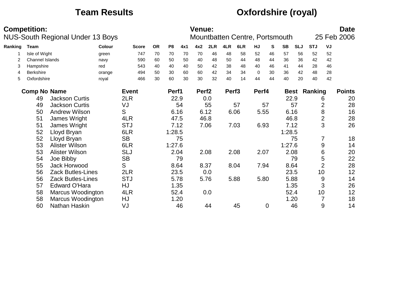# **Team Results Oxfordshire (royal)**

|         | <b>Competition:</b>    | NUS-South Regional Under 13 Boys |               |              |           |                |     | <b>Venue:</b>     |      |                   | Mountbatten Centre, Portsmouth |             |    |           |            |                     |                | <b>Date</b><br>25 Feb 2006 |
|---------|------------------------|----------------------------------|---------------|--------------|-----------|----------------|-----|-------------------|------|-------------------|--------------------------------|-------------|----|-----------|------------|---------------------|----------------|----------------------------|
| Ranking | <b>Team</b>            |                                  | <b>Colour</b> | <b>Score</b> | <b>OR</b> | P <sub>8</sub> | 4x1 | 4x2               | 2LR  | 4LR               | 6LR                            | HJ          | S  | <b>SB</b> | <b>SLJ</b> | <b>STJ</b>          | VJ             |                            |
|         | Isle of Wight          |                                  | green         | 747          | 70        | 70             | 70  | 70                | 46   | 48                | 58                             | 52          | 46 | 57        | 56         | 52                  | 52             |                            |
|         | <b>Channel Islands</b> |                                  | navy          | 590          | 60        | 50             | 50  | 40                | 48   | 50                | 44                             | 48          | 44 | 36        | 36         | 42                  | 42             |                            |
| 3       | Hampshire              |                                  | red           | 543          | 40        | 40             | 40  | 50                | 42   | 38                | 48                             | 40          | 46 | 41        | 44         | 28                  | 46             |                            |
| 4       | <b>Berkshire</b>       |                                  | orange        | 494          | 50        | 30             | 60  | 60                | 42   | 34                | 34                             | $\mathbf 0$ | 30 | 36        | 42         | 48                  | 28             |                            |
| 5       | Oxfordshire            |                                  | royal         | 466          | 30        | 60             | 30  | 30                | 32   | 40                | 14                             | 44          | 44 | 40        | 20         | 40                  | 42             |                            |
|         | <b>Comp No Name</b>    |                                  |               | <b>Event</b> |           | Perf1          |     | Perf <sub>2</sub> |      | Perf <sub>3</sub> |                                | Perf4       |    |           |            | <b>Best Ranking</b> |                | <b>Points</b>              |
|         | 49                     | <b>Jackson Curtis</b>            |               | 2LR          |           | 22.9           |     |                   | 0.0  |                   |                                |             |    | 22.9      |            |                     | 6              | 20                         |
|         | 49                     | <b>Jackson Curtis</b>            |               | VJ           |           |                | 54  |                   | 55   |                   | 57                             |             | 57 |           | 57         |                     | 2              | 28                         |
|         | 50                     | <b>Andrew Wilson</b>             |               | S            |           | 6.16           |     | 6.12              |      |                   | 6.06                           | 5.55        |    | 6.16      |            |                     | 8              | 16                         |
|         | 51                     | James Wright                     |               | 4LR          |           | 47.5           |     | 46.8              |      |                   |                                |             |    | 46.8      |            |                     | $\overline{2}$ | 28                         |
|         | 51                     | James Wright                     |               | <b>STJ</b>   |           | 7.12           |     |                   | 7.06 |                   | 7.03                           | 6.93        |    | 7.12      |            |                     | 3              | 26                         |
|         | 52                     | Lloyd Bryan                      |               | 6LR          |           | 1:28.5         |     |                   |      |                   |                                |             |    | 1:28.5    |            |                     |                |                            |
|         | 52                     | Lloyd Bryan                      |               | <b>SB</b>    |           |                | 75  |                   |      |                   |                                |             |    |           | 75         |                     | 7              | 18                         |
|         | 53                     | <b>Alister Wilson</b>            |               | 6LR          |           | 1:27.6         |     |                   |      |                   |                                |             |    | 1:27.6    |            |                     | 9              | 14                         |
|         | 53                     | <b>Alister Wilson</b>            |               | <b>SLJ</b>   |           | 2.04           |     | 2.08              |      |                   | 2.08                           | 2.07        |    | 2.08      |            |                     | 6              | 20                         |
|         | 54                     | Joe Bibby                        |               | <b>SB</b>    |           |                | 79  |                   |      |                   |                                |             |    |           | 79         |                     | 5              | 22                         |
|         | 55                     | Jack Horwood                     |               | S            |           | 8.64           |     | 8.37              |      |                   | 8.04                           | 7.94        |    | 8.64      |            |                     | $\overline{2}$ | 28                         |
|         | 56                     | <b>Zack Butles-Lines</b>         |               | 2LR          |           | 23.5           |     |                   | 0.0  |                   |                                |             |    | 23.5      |            |                     | 10             | 12                         |
|         | 56                     | <b>Zack Butles-Lines</b>         |               | <b>STJ</b>   |           | 5.78           |     |                   | 5.76 |                   | 5.88                           | 5.80        |    | 5.88      |            |                     | 9              | 14                         |
|         | 57                     | <b>Edward O'Hara</b>             |               | HJ           |           | 1.35           |     |                   |      |                   |                                |             |    | 1.35      |            |                     | 3              | 26                         |
|         | 58                     | Marcus Woodington                |               | 4LR          |           | 52.4           |     |                   | 0.0  |                   |                                |             |    | 52.4      |            | 10                  |                | 12                         |
|         | 58                     | Marcus Woodington                |               | HJ           |           | 1.20           |     |                   |      |                   |                                |             |    | 1.20      |            |                     |                | 18                         |
|         | 60                     | Nathan Haskin                    |               | VJ           |           |                | 46  |                   | 44   |                   | 45                             |             | 0  |           | 46         |                     | 9              | 14                         |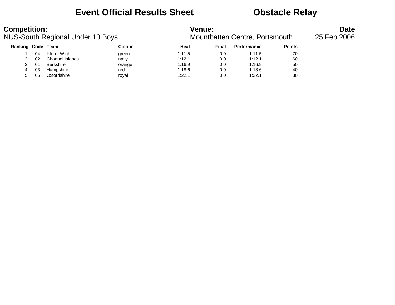## **Event Official Results Sheet <b>CEV** Obstacle Relay

| <b>Competition:</b> |    | <b>NUS-South Regional Under 13 Boys</b> |        | <b>Venue:</b> |       | Mountbatten Centre, Portsmouth |               | <b>Date</b><br>25 Feb 2006 |
|---------------------|----|-----------------------------------------|--------|---------------|-------|--------------------------------|---------------|----------------------------|
| Ranking Code Team   |    |                                         | Colour | Heat          | Final | <b>Performance</b>             | <b>Points</b> |                            |
|                     | 04 | Isle of Wight                           | green  | 1:11.5        | 0.0   | 1:11.5                         | 70            |                            |
|                     | 02 | Channel Islands                         | navy   | 1:12.1        | 0.0   | 1:12.1                         | 60            |                            |
| 3                   | 01 | Berkshire                               | orange | 1:16.9        | 0.0   | 1:16.9                         | 50            |                            |
| 4                   | 03 | Hampshire                               | red    | 1:18.6        | 0.0   | 1:18.6                         | 40            |                            |
| 5                   | 05 | Oxfordshire                             | royal  | 1:22.1        | 0.0   | 1:22.1                         | 30            |                            |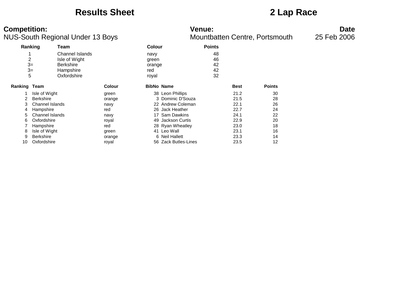### **Results Sheet 2 Lap Race**

### **Competition: Venue: Date**

|                     | Ranking                | Team             |               | <b>Colour</b> |                      | <b>Points</b> |             |               |  |
|---------------------|------------------------|------------------|---------------|---------------|----------------------|---------------|-------------|---------------|--|
|                     |                        | Channel Islands  |               | navy          |                      | 48            |             |               |  |
| 2                   |                        | Isle of Wight    |               | green         |                      | 46            |             |               |  |
|                     | $3=$                   | <b>Berkshire</b> |               | orange        |                      | 42            |             |               |  |
|                     | $3=$                   | Hampshire        |               | red           |                      | 42            |             |               |  |
|                     | 5                      | Oxfordshire      |               | royal         |                      | 32            |             |               |  |
| <b>Ranking Team</b> |                        |                  | <b>Colour</b> |               | <b>BibNo Name</b>    |               | <b>Best</b> | <b>Points</b> |  |
|                     | Isle of Wight          |                  | green         |               | 38 Leon Phillips     |               | 21.2        | 30            |  |
|                     | <b>Berkshire</b>       |                  | orange        |               | 3 Dominic D'Souza    |               | 21.5        | 28            |  |
| 3                   | <b>Channel Islands</b> |                  | navy          |               | 22 Andrew Coleman    |               | 22.1        | 26            |  |
| 4                   | Hampshire              |                  | red           |               | 26 Jack Heather      |               | 22.7        | 24            |  |
| 5                   | Channel Islands        |                  | navy          |               | 17 Sam Dawkins       |               | 24.1        | 22            |  |
| 6                   | Oxfordshire            |                  | royal         | 49            | Jackson Curtis       |               | 22.9        | 20            |  |
|                     | Hampshire              |                  | red           |               | 28 Ryan Wheatley     |               | 23.0        | 18            |  |
| 8                   | Isle of Wight          |                  | green         |               | 41 Leo Wall          |               | 23.1        | 16            |  |
| 9                   | <b>Berkshire</b>       |                  | orange        |               | 6 Neil Hallett       |               | 23.3        | 14            |  |
| 10                  | Oxfordshire            |                  | royal         |               | 56 Zack Butles-Lines |               | 23.5        | 12            |  |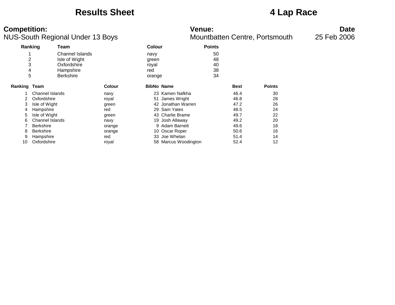### **Results Sheet 4 Lap Race**

**Competition:**<br>**Date**<br>Mountbatten Centre, Portsmouth 25 Feb 2006<br>Mountbatten Centre, Portsmouth 25 Feb 2006 NUS-South Regional Under 13 Boys

|                | Ranking          | Team             |               | <b>Colour</b>     |                      | <b>Points</b> |             |               |
|----------------|------------------|------------------|---------------|-------------------|----------------------|---------------|-------------|---------------|
|                |                  | Channel Islands  |               | navy              |                      | 50            |             |               |
| $\overline{2}$ |                  | Isle of Wight    |               | green             |                      | 48            |             |               |
| 3              |                  | Oxfordshire      |               | royal             |                      | 40            |             |               |
| 4              |                  | Hampshire        |               | red               |                      | 38            |             |               |
| 5              |                  | <b>Berkshire</b> |               | orange            |                      | 34            |             |               |
| Ranking Team   |                  |                  | <b>Colour</b> | <b>BibNo Name</b> |                      |               | <b>Best</b> | <b>Points</b> |
|                | Channel Islands  |                  | navy          |                   | 23 Kamen Nafkha      |               | 46.4        | 30            |
| 2              | Oxfordshire      |                  | royal         |                   | 51 James Wright      |               | 46.8        | 28            |
| 3              | Isle of Wight    |                  | green         |                   | 42 Jonathan Warren   |               | 47.2        | 26            |
| 4              | Hampshire        |                  | red           |                   | 29 Sam Yates         |               | 48.5        | 24            |
| 5              | Isle of Wight    |                  | green         |                   | 43 Charlie Brame     |               | 49.7        | 22            |
| 6              | Channel Islands  |                  | navy          |                   | 19 Josh Allaway      |               | 49.2        | 20            |
|                | <b>Berkshire</b> |                  | orange        |                   | 9 Adam Barnett       |               | 49.6        | 18            |
| 8              | <b>Berkshire</b> |                  | orange        |                   | 10 Oscar Roper       |               | 50.6        | 16            |
| 9              | Hampshire        |                  | red           | 33                | Joe Whelan           |               | 51.4        | 14            |
| 10             | Oxfordshire      |                  | royal         |                   | 58 Marcus Woodington |               | 52.4        | 12            |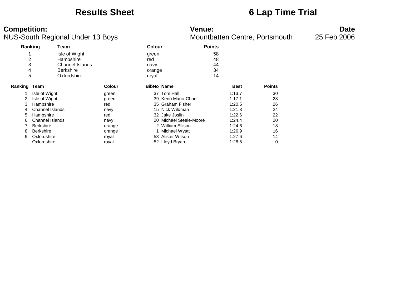### **Results Sheet 6 Lap Time Trial**

### **Competition: Venue: Date**

| Ranking             |                  | Team                                                                             |        | Colour                                  |                         | <b>Points</b>              |             |               |
|---------------------|------------------|----------------------------------------------------------------------------------|--------|-----------------------------------------|-------------------------|----------------------------|-------------|---------------|
| 2<br>3<br>4<br>5    |                  | Isle of Wight<br>Hampshire<br>Channel Islands<br><b>Berkshire</b><br>Oxfordshire |        | green<br>red<br>navy<br>orange<br>royal |                         | 58<br>48<br>44<br>34<br>14 |             |               |
| <b>Ranking Team</b> |                  |                                                                                  | Colour |                                         | <b>BibNo Name</b>       |                            | <b>Best</b> | <b>Points</b> |
|                     | Isle of Wight    |                                                                                  | green  |                                         | 37 Tom Hall             |                            | 1:13.7      | 30            |
| 2                   | Isle of Wight    |                                                                                  | green  |                                         | 39 Keno Mario-Ghae      |                            | 1:17.1      | 28            |
| 3                   | Hampshire        |                                                                                  | red    |                                         | 35 Graham Fisher        |                            | 1:20.5      | 26            |
| 4                   | Channel Islands  |                                                                                  | navy   |                                         | 15 Nick Wildman         |                            | 1:21.3      | 24            |
| 5                   | Hampshire        |                                                                                  | red    |                                         | 32 Jake Joslin          |                            | 1:22.6      | 22            |
| 6                   | Channel Islands  |                                                                                  | navy   |                                         | 20 Michael Steele-Moore |                            | 1:24.4      | 20            |
|                     | <b>Berkshire</b> |                                                                                  | orange |                                         | 2 William Ellison       |                            | 1:24.6      | 18            |
| 8                   | <b>Berkshire</b> |                                                                                  | orange |                                         | Michael Wyatt           |                            | 1:26.9      | 16            |
| 9                   | Oxfordshire      |                                                                                  | royal  |                                         | 53 Alister Wilson       |                            | 1:27.6      | 14            |
|                     | Oxfordshire      |                                                                                  | royal  |                                         | 52 Lloyd Bryan          |                            | 1:28.5      | 0             |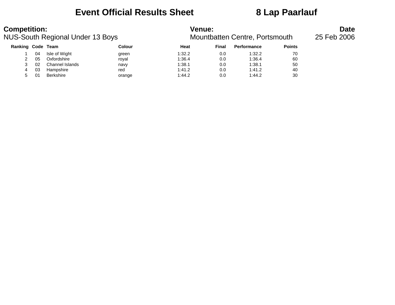## **Event Official Results Sheet 8 Lap Paarlauf**

| <b>Competition:</b> |    | <b>NUS-South Regional Under 13 Boys</b> |        | <b>Venue:</b> |       | Mountbatten Centre, Portsmouth |               | <b>Date</b><br>25 Feb 2006 |
|---------------------|----|-----------------------------------------|--------|---------------|-------|--------------------------------|---------------|----------------------------|
| Ranking Code Team   |    |                                         | Colour | Heat          | Final | Performance                    | <b>Points</b> |                            |
|                     | 04 | Isle of Wight                           | green  | 1:32.2        | 0.0   | 1:32.2                         | 70            |                            |
|                     | 05 | Oxfordshire                             | royal  | 1:36.4        | 0.0   | 1:36.4                         | 60            |                            |
|                     | 02 | Channel Islands                         | navy   | 1:38.1        | 0.0   | 1:38.1                         | 50            |                            |
| 4                   | 03 | Hampshire                               | red    | 1:41.2        | 0.0   | 1:41.2                         | 40            |                            |
| 5.                  |    | Berkshire                               | orange | 1:44.2        | 0.0   | 1:44.2                         | 30            |                            |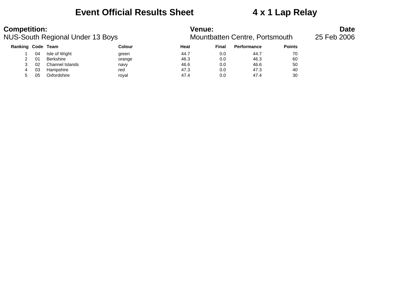## **Event Official Results Sheet 4 x 1 Lap Relay**

| <b>Competition:</b> |    | <b>NUS-South Regional Under 13 Boys</b> |        | <b>Venue:</b> |       | Mountbatten Centre, Portsmouth |               | <b>Date</b><br>25 Feb 2006 |
|---------------------|----|-----------------------------------------|--------|---------------|-------|--------------------------------|---------------|----------------------------|
| Ranking Code Team   |    |                                         | Colour | Heat          | Final | Performance                    | <b>Points</b> |                            |
|                     | 04 | Isle of Wight                           | green  | 44.7          | 0.0   | 44.7                           | 70            |                            |
|                     | 01 | Berkshire                               | orange | 46.3          | 0.0   | 46.3                           | 60            |                            |
|                     | 02 | Channel Islands                         | navy   | 46.6          | 0.0   | 46.6                           | 50            |                            |
| 4                   | 03 | Hampshire                               | red    | 47.3          | 0.0   | 47.3                           | 40            |                            |
| 5                   | 05 | Oxfordshire                             | roval  | 47.4          | 0.0   | 47.4                           | 30            |                            |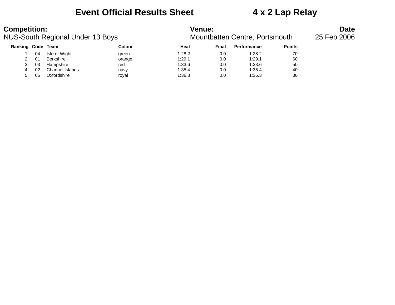### **Event Official Results Sheet 4 x 2 Lap Relay**

### **Competition:**<br>**Date**<br>Mountbatten Centre, Portsmouth 25 Feb 2006<br>Mountbatten Centre, Portsmouth 25 Feb 2006 NUS-South Regional Under 13 Boys

| Ranking Code Team |    |                  | Colour | Heat   | Final | <b>Performance</b> | <b>Points</b> |
|-------------------|----|------------------|--------|--------|-------|--------------------|---------------|
|                   | 04 | Isle of Wight    | green  | 1:28.2 | 0.0   | 1:28.2             | 70            |
|                   | 01 | <b>Berkshire</b> | orange | 1:29.1 | 0.0   | 1:29.1             | 60            |
|                   | 03 | Hampshire        | red    | 1:33.6 | 0.0   | 1:33.6             | 50            |
|                   | 02 | Channel Islands  | navy   | 1:35.4 | 0.0   | 1:35.4             | 40            |
| ∽                 | 05 | Oxfordshire      | royal  | 1:36.3 | 0.0   | 1:36.3             | 30            |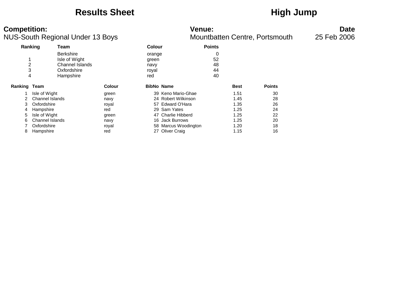### Results Sheet **High Jump**

### **Competition: Venue: Date** NUS-South Regional Under 13 Boys **Mountbatten Centre, Portsmouth** 25 Feb 2006

|              | Ranking                | Team                   |               | <b>Colour</b> |                      | <b>Points</b> |             |               |  |
|--------------|------------------------|------------------------|---------------|---------------|----------------------|---------------|-------------|---------------|--|
|              |                        | <b>Berkshire</b>       |               | orange        |                      | 0             |             |               |  |
| 4            |                        | Isle of Wight          |               | green         |                      | 52            |             |               |  |
| 2            |                        | <b>Channel Islands</b> |               | navy          |                      | 48            |             |               |  |
| 3            |                        | Oxfordshire            |               | royal         |                      | 44            |             |               |  |
|              | 4                      | Hampshire              |               | red           |                      | 40            |             |               |  |
| Ranking Team |                        |                        | <b>Colour</b> |               | <b>BibNo Name</b>    |               | <b>Best</b> | <b>Points</b> |  |
|              | Isle of Wight          |                        | green         |               | 39 Keno Mario-Ghae   |               | 1.51        | 30            |  |
|              | <b>Channel Islands</b> |                        | navy          |               | 24 Robert Wilkinson  |               | 1.45        | 28            |  |
| 3            | Oxfordshire            |                        | royal         |               | 57 Edward O'Hara     |               | 1.35        | 26            |  |
| 4            | Hampshire              |                        | red           |               | 29 Sam Yates         |               | 1.25        | 24            |  |
| 5            | Isle of Wight          |                        | green         |               | 47 Charlie Hibberd   |               | 1.25        | 22            |  |
| 6            | <b>Channel Islands</b> |                        | navy          |               | 16 Jack Burrows      |               | 1.25        | 20            |  |
|              | Oxfordshire            |                        | royal         |               | 58 Marcus Woodington |               | 1.20        | 18            |  |
| 8            | Hampshire              |                        | red           | 27            | <b>Oliver Craig</b>  |               | 1.15        | 16            |  |
|              |                        |                        |               |               |                      |               |             |               |  |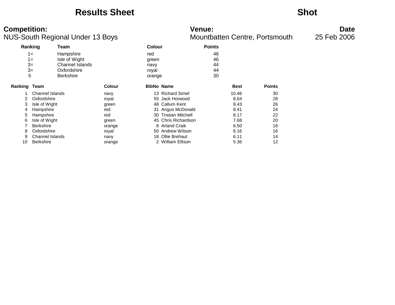### **Results Sheet Shot**

### **Competition: Venue: Date**

| Ranking<br>$1 =$<br>$1 =$<br>$3=$<br>$3=$<br>5 |                        | Team<br>Hampshire<br>Isle of Wight<br>Channel Islands<br>Oxfordshire<br><b>Berkshire</b> |        | <b>Colour</b><br>red<br>green<br>navy<br>royal<br>orange |                      | <b>Points</b><br>46<br>46<br>44<br>44<br>30 |             |               |
|------------------------------------------------|------------------------|------------------------------------------------------------------------------------------|--------|----------------------------------------------------------|----------------------|---------------------------------------------|-------------|---------------|
| <b>Ranking Team</b>                            |                        |                                                                                          | Colour | <b>BibNo Name</b>                                        |                      |                                             | <b>Best</b> | <b>Points</b> |
|                                                | <b>Channel Islands</b> |                                                                                          | navy   | 13                                                       | <b>Richard Simel</b> |                                             | 10.46       | 30            |
|                                                | Oxfordshire            |                                                                                          | royal  |                                                          | 55 Jack Horwood      |                                             | 8.64        | 28            |
| 3                                              | Isle of Wight          |                                                                                          | green  |                                                          | 48 Callum Kent       |                                             | 8.43        | 26            |
| 4                                              | Hampshire              |                                                                                          | red    |                                                          | 31 Angus McDonald    |                                             | 8.41        | 24            |
| 5                                              | Hampshire              |                                                                                          | red    |                                                          | 30 Tristian Mitchell |                                             | 8.17        | 22            |
| 6                                              | Isle of Wight          |                                                                                          | green  | 45                                                       | Chris Richardson     |                                             | 7.68        | 20            |
|                                                | <b>Berkshire</b>       |                                                                                          | orange |                                                          | 8 Arland Craik       |                                             | 6.50        | 18            |
| 8                                              | Oxfordshire            |                                                                                          | royal  |                                                          | 50 Andrew Wilson     |                                             | 6.16        | 16            |
| 9                                              | <b>Channel Islands</b> |                                                                                          | navy   | 18                                                       | Ollie Brehaut        |                                             | 6.11        | 14            |
| 10                                             | <b>Berkshire</b>       |                                                                                          | orange |                                                          | 2 William Ellison    |                                             | 5.36        | 12            |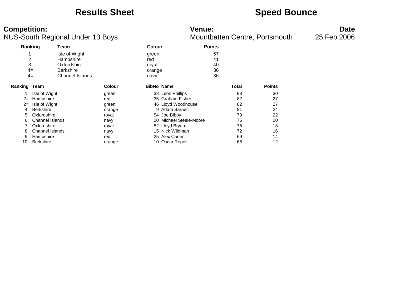### **Results Sheet <b>Speed Bounce Speed Bounce**

### **Competition: Venue: Date**

| Ranking             | Team                   |                                                                                                                                     |      |       |                                                                                                                                                                                                                                                           |               |               |
|---------------------|------------------------|-------------------------------------------------------------------------------------------------------------------------------------|------|-------|-----------------------------------------------------------------------------------------------------------------------------------------------------------------------------------------------------------------------------------------------------------|---------------|---------------|
|                     | Isle of Wight          |                                                                                                                                     |      |       | 57                                                                                                                                                                                                                                                        |               |               |
| 2                   | Hampshire              |                                                                                                                                     | red  |       | 41                                                                                                                                                                                                                                                        |               |               |
| 3                   | Oxfordshire            |                                                                                                                                     |      |       | 40                                                                                                                                                                                                                                                        |               |               |
| $4=$                | <b>Berkshire</b>       |                                                                                                                                     |      |       | 36                                                                                                                                                                                                                                                        |               |               |
| $4=$                | <b>Channel Islands</b> |                                                                                                                                     | navy |       | 36                                                                                                                                                                                                                                                        |               |               |
| <b>Ranking Team</b> |                        | <b>Colour</b>                                                                                                                       |      |       |                                                                                                                                                                                                                                                           | Total         | <b>Points</b> |
|                     |                        | green                                                                                                                               |      |       |                                                                                                                                                                                                                                                           | 93            | 30            |
|                     |                        | red                                                                                                                                 |      |       |                                                                                                                                                                                                                                                           | 82            | 27            |
|                     |                        | green                                                                                                                               |      |       |                                                                                                                                                                                                                                                           | 82            | 27            |
| <b>Berkshire</b>    |                        | orange                                                                                                                              |      |       |                                                                                                                                                                                                                                                           | 81            | 24            |
|                     |                        | royal                                                                                                                               |      |       |                                                                                                                                                                                                                                                           | 79            | 22            |
|                     |                        | navy                                                                                                                                |      |       |                                                                                                                                                                                                                                                           | 76            | 20            |
|                     |                        | royal                                                                                                                               |      |       |                                                                                                                                                                                                                                                           | 75            | 18            |
|                     |                        | navy                                                                                                                                |      |       |                                                                                                                                                                                                                                                           | 72            | 16            |
|                     |                        | red                                                                                                                                 |      |       |                                                                                                                                                                                                                                                           | 69            | 14            |
| <b>Berkshire</b>    |                        | orange                                                                                                                              |      |       |                                                                                                                                                                                                                                                           | 66            | 12            |
|                     |                        | Isle of Wight<br>Hampshire<br>Isle of Wight<br>Oxfordshire<br>Channel Islands<br>Oxfordshire<br><b>Channel Islands</b><br>Hampshire |      | royal | <b>Colour</b><br>green<br>orange<br><b>BibNo Name</b><br>38 Leon Phillips<br>35 Graham Fisher<br>46 Lloyd Woodhouse<br>9 Adam Barnett<br>54 Joe Bibby<br>20 Michael Steele-Moore<br>52 Lloyd Bryan<br>15 Nick Wildman<br>25 Alex Carter<br>10 Oscar Roper | <b>Points</b> |               |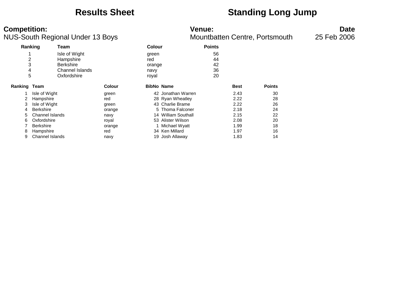### **Results Sheet Standing Long Jump**

**Competition:**<br>**Date**<br>Mountbatten Centre, Portsmouth and Dream Paper South Regional Under 13 Boys<br>Mountbatten Centre, Portsmouth 25 Feb 2006 NUS-South Regional Under 13 Boys

| Ranking        |                        | Team                   |        | <b>Colour</b> |                     | <b>Points</b> |             |               |
|----------------|------------------------|------------------------|--------|---------------|---------------------|---------------|-------------|---------------|
|                |                        | Isle of Wight          |        | green         |                     | 56            |             |               |
| $\overline{2}$ |                        | Hampshire              |        | red           |                     | 44            |             |               |
| 3              |                        | <b>Berkshire</b>       |        | orange        |                     | 42            |             |               |
| 4              |                        | <b>Channel Islands</b> |        | navy          |                     | 36            |             |               |
| 5              |                        | Oxfordshire            |        | royal         |                     | 20            |             |               |
| Ranking        | Team                   |                        | Colour |               | <b>BibNo Name</b>   |               | <b>Best</b> | <b>Points</b> |
|                | Isle of Wight          |                        | green  |               | 42 Jonathan Warren  |               | 2.43        | 30            |
|                | Hampshire              |                        | red    |               | 28 Ryan Wheatley    |               | 2.22        | 28            |
| 3              | Isle of Wight          |                        | green  |               | 43 Charlie Brame    |               | 2.22        | 26            |
| 4              | <b>Berkshire</b>       |                        | orange |               | 5 Thoma Falconer    |               | 2.18        | 24            |
| 5              | Channel Islands        |                        | navy   |               | 14 William Southall |               | 2.15        | 22            |
| 6              | Oxfordshire            |                        | royal  |               | 53 Alister Wilson   |               | 2.08        | 20            |
|                | <b>Berkshire</b>       |                        | orange |               | 1 Michael Wyatt     |               | 1.99        | 18            |
| 8              | Hampshire              |                        | red    |               | 34 Ken Millard      |               | 1.97        | 16            |
| 9              | <b>Channel Islands</b> |                        | navy   | 19            | Josh Allaway        |               | 1.83        | 14            |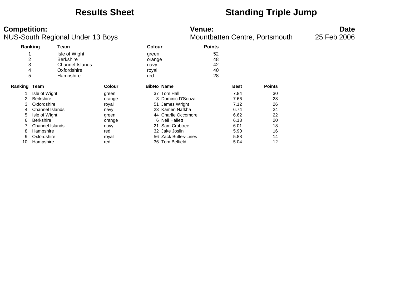### **Results Sheet Standing Triple Jump**

### **Competition: Venue: Date**

|                     | ັ                |                        |               |               |                      |               |             |               |  |
|---------------------|------------------|------------------------|---------------|---------------|----------------------|---------------|-------------|---------------|--|
|                     | Ranking          | Team                   |               | <b>Colour</b> |                      | <b>Points</b> |             |               |  |
|                     |                  | Isle of Wight          |               | green         |                      | 52            |             |               |  |
| 2                   |                  | <b>Berkshire</b>       |               | orange        |                      | 48            |             |               |  |
| 3                   |                  | <b>Channel Islands</b> |               | navy          |                      | 42            |             |               |  |
| 4                   |                  | Oxfordshire            |               | royal         |                      | 40            |             |               |  |
| 5                   |                  | Hampshire              |               | red           |                      | 28            |             |               |  |
| <b>Ranking Team</b> |                  |                        | <b>Colour</b> |               | <b>BibNo Name</b>    |               | <b>Best</b> | <b>Points</b> |  |
|                     | Isle of Wight    |                        | green         |               | 37 Tom Hall          |               | 7.84        | 30            |  |
| 2                   | <b>Berkshire</b> |                        | orange        |               | 3 Dominic D'Souza    |               | 7.66        | 28            |  |
| 3                   | Oxfordshire      |                        | royal         |               | 51 James Wright      |               | 7.12        | 26            |  |
| 4                   | Channel Islands  |                        | navy          |               | 23 Kamen Nafkha      |               | 6.74        | 24            |  |
| 5                   | Isle of Wight    |                        | green         |               | 44 Charlie Occomore  |               | 6.62        | 22            |  |
| 6                   | <b>Berkshire</b> |                        | orange        |               | 6 Neil Hallett       |               | 6.13        | 20            |  |
|                     | Channel Islands  |                        | navy          |               | 21 Sam Crabtree      |               | 6.01        | 18            |  |
| 8                   | Hampshire        |                        | red           |               | 32 Jake Joslin       |               | 5.90        | 16            |  |
| 9                   | Oxfordshire      |                        | royal         |               | 56 Zack Butles-Lines |               | 5.88        | 14            |  |
| 10                  | Hampshire        |                        | red           | 36            | <b>Tom Belfield</b>  |               | 5.04        | 12            |  |
|                     |                  |                        |               |               |                      |               |             |               |  |